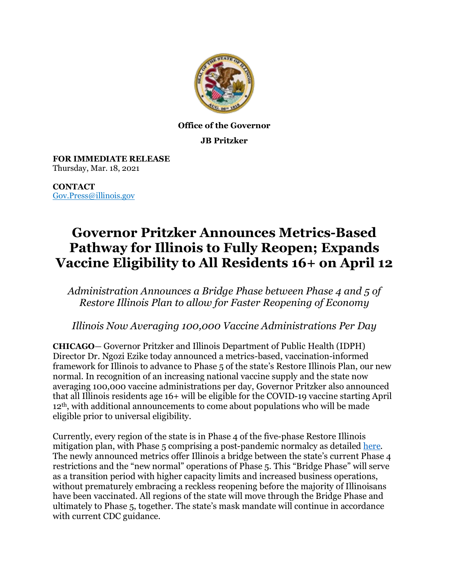

## **Office of the Governor**

**JB Pritzker**

**FOR IMMEDIATE RELEASE** Thursday, Mar. 18, 2021

**CONTACT** [Gov.Press@illinois.gov](mailto:Gov.Press@illinois.gov)

## **Governor Pritzker Announces Metrics-Based Pathway for Illinois to Fully Reopen; Expands Vaccine Eligibility to All Residents 16+ on April 12**

*Administration Announces a Bridge Phase between Phase 4 and 5 of Restore Illinois Plan to allow for Faster Reopening of Economy*

*Illinois Now Averaging 100,000 Vaccine Administrations Per Day* 

**CHICAGO**— Governor Pritzker and Illinois Department of Public Health (IDPH) Director Dr. Ngozi Ezike today announced a metrics-based, vaccination-informed framework for Illinois to advance to Phase 5 of the state's Restore Illinois Plan, our new normal. In recognition of an increasing national vaccine supply and the state now averaging 100,000 vaccine administrations per day, Governor Pritzker also announced that all Illinois residents age 16+ will be eligible for the COVID-19 vaccine starting April 12th, with additional announcements to come about populations who will be made eligible prior to universal eligibility.

Currently, every region of the state is in Phase 4 of the five-phase Restore Illinois mitigation plan, with Phase 5 comprising a post-pandemic normalcy as detailed [here.](https://coronavirus.illinois.gov/s/restore-illinois-phase-5) The newly announced metrics offer Illinois a bridge between the state's current Phase 4 restrictions and the "new normal" operations of Phase 5. This "Bridge Phase" will serve as a transition period with higher capacity limits and increased business operations, without prematurely embracing a reckless reopening before the majority of Illinoisans have been vaccinated. All regions of the state will move through the Bridge Phase and ultimately to Phase 5, together. The state's mask mandate will continue in accordance with current CDC guidance.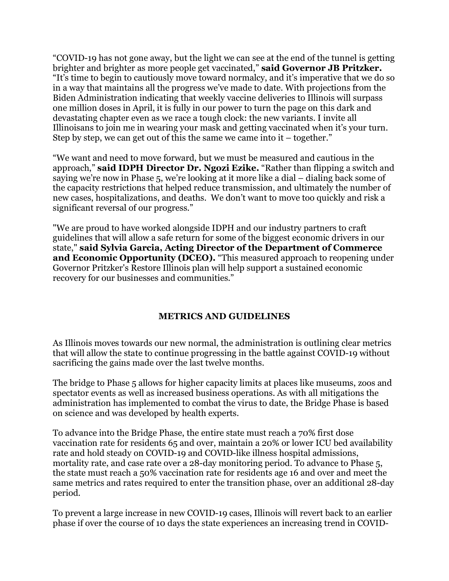"COVID-19 has not gone away, but the light we can see at the end of the tunnel is getting brighter and brighter as more people get vaccinated," **said Governor JB Pritzker.** "It's time to begin to cautiously move toward normalcy, and it's imperative that we do so in a way that maintains all the progress we've made to date. With projections from the Biden Administration indicating that weekly vaccine deliveries to Illinois will surpass one million doses in April, it is fully in our power to turn the page on this dark and devastating chapter even as we race a tough clock: the new variants. I invite all Illinoisans to join me in wearing your mask and getting vaccinated when it's your turn. Step by step, we can get out of this the same we came into  $it - together$ ."

"We want and need to move forward, but we must be measured and cautious in the approach," **said IDPH Director Dr. Ngozi Ezike.** "Rather than flipping a switch and saying we're now in Phase 5, we're looking at it more like a dial – dialing back some of the capacity restrictions that helped reduce transmission, and ultimately the number of new cases, hospitalizations, and deaths. We don't want to move too quickly and risk a significant reversal of our progress."

"We are proud to have worked alongside IDPH and our industry partners to craft guidelines that will allow a safe return for some of the biggest economic drivers in our state," **said Sylvia Garcia, Acting Director of the Department of Commerce and Economic Opportunity (DCEO).** "This measured approach to reopening under Governor Pritzker's Restore Illinois plan will help support a sustained economic recovery for our businesses and communities."

## **METRICS AND GUIDELINES**

As Illinois moves towards our new normal, the administration is outlining clear metrics that will allow the state to continue progressing in the battle against COVID-19 without sacrificing the gains made over the last twelve months.

The bridge to Phase 5 allows for higher capacity limits at places like museums, zoos and spectator events as well as increased business operations. As with all mitigations the administration has implemented to combat the virus to date, the Bridge Phase is based on science and was developed by health experts.

To advance into the Bridge Phase, the entire state must reach a 70% first dose vaccination rate for residents 65 and over, maintain a 20% or lower ICU bed availability rate and hold steady on COVID-19 and COVID-like illness hospital admissions, mortality rate, and case rate over a 28-day monitoring period. To advance to Phase 5, the state must reach a 50% vaccination rate for residents age 16 and over and meet the same metrics and rates required to enter the transition phase, over an additional 28-day period.

To prevent a large increase in new COVID-19 cases, Illinois will revert back to an earlier phase if over the course of 10 days the state experiences an increasing trend in COVID-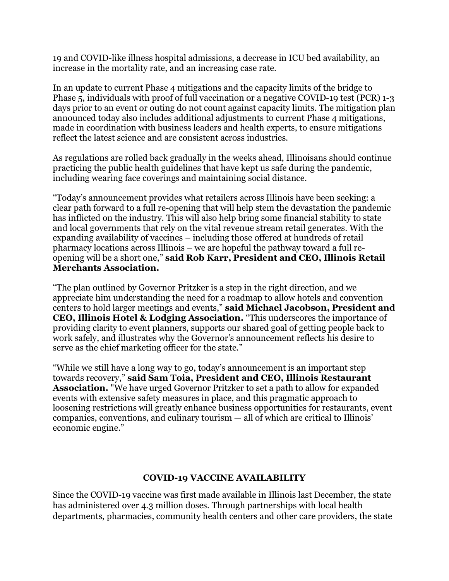19 and COVID-like illness hospital admissions, a decrease in ICU bed availability, an increase in the mortality rate, and an increasing case rate.

In an update to current Phase 4 mitigations and the capacity limits of the bridge to Phase 5, individuals with proof of full vaccination or a negative COVID-19 test (PCR) 1-3 days prior to an event or outing do not count against capacity limits. The mitigation plan announced today also includes additional adjustments to current Phase 4 mitigations, made in coordination with business leaders and health experts, to ensure mitigations reflect the latest science and are consistent across industries.

As regulations are rolled back gradually in the weeks ahead, Illinoisans should continue practicing the public health guidelines that have kept us safe during the pandemic, including wearing face coverings and maintaining social distance.

"Today's announcement provides what retailers across Illinois have been seeking: a clear path forward to a full re-opening that will help stem the devastation the pandemic has inflicted on the industry. This will also help bring some financial stability to state and local governments that rely on the vital revenue stream retail generates. With the expanding availability of vaccines – including those offered at hundreds of retail pharmacy locations across Illinois – we are hopeful the pathway toward a full reopening will be a short one," **said Rob Karr, President and CEO, Illinois Retail Merchants Association.**

"The plan outlined by Governor Pritzker is a step in the right direction, and we appreciate him understanding the need for a roadmap to allow hotels and convention centers to hold larger meetings and events," **said Michael Jacobson, President and CEO, Illinois Hotel & Lodging Association.** "This underscores the importance of providing clarity to event planners, supports our shared goal of getting people back to work safely, and illustrates why the Governor's announcement reflects his desire to serve as the chief marketing officer for the state."

"While we still have a long way to go, today's announcement is an important step towards recovery," **said Sam Toia, President and CEO, Illinois Restaurant Association.** "We have urged Governor Pritzker to set a path to allow for expanded events with extensive safety measures in place, and this pragmatic approach to loosening restrictions will greatly enhance business opportunities for restaurants, event companies, conventions, and culinary tourism — all of which are critical to Illinois' economic engine."

## **COVID-19 VACCINE AVAILABILITY**

Since the COVID-19 vaccine was first made available in Illinois last December, the state has administered over 4.3 million doses. Through partnerships with local health departments, pharmacies, community health centers and other care providers, the state